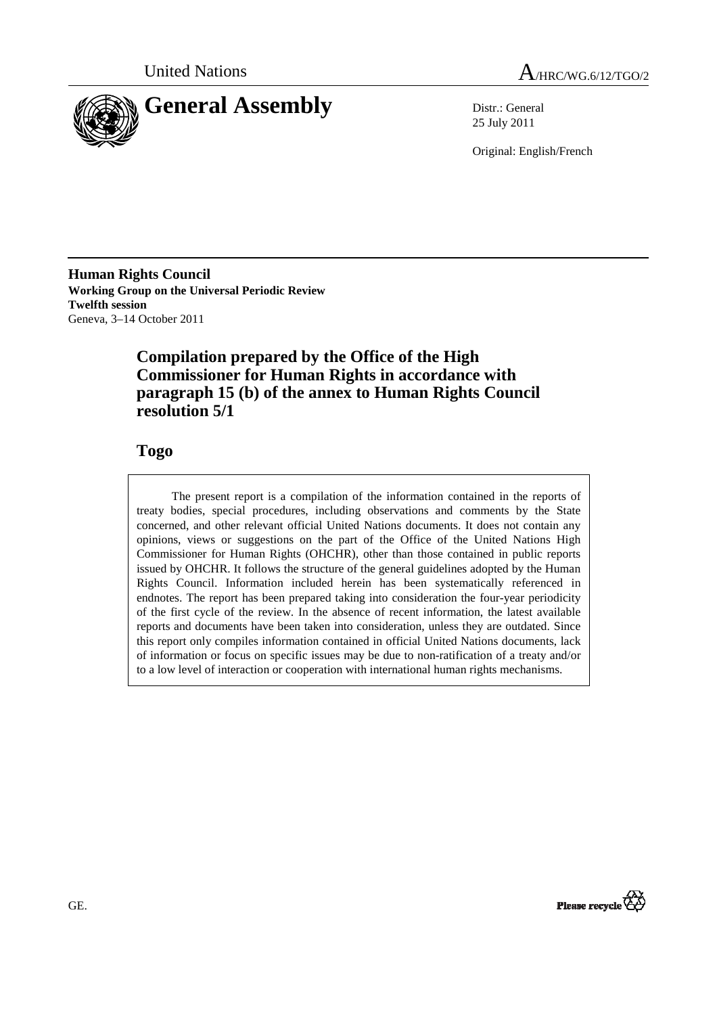



25 July 2011

Original: English/French

**Human Rights Council Working Group on the Universal Periodic Review Twelfth session**  Geneva, 3–14 October 2011

# **Compilation prepared by the Office of the High Commissioner for Human Rights in accordance with paragraph 15 (b) of the annex to Human Rights Council resolution 5/1**

# **Togo**

The present report is a compilation of the information contained in the reports of treaty bodies, special procedures, including observations and comments by the State concerned, and other relevant official United Nations documents. It does not contain any opinions, views or suggestions on the part of the Office of the United Nations High Commissioner for Human Rights (OHCHR), other than those contained in public reports issued by OHCHR. It follows the structure of the general guidelines adopted by the Human Rights Council. Information included herein has been systematically referenced in endnotes. The report has been prepared taking into consideration the four-year periodicity of the first cycle of the review. In the absence of recent information, the latest available reports and documents have been taken into consideration, unless they are outdated. Since this report only compiles information contained in official United Nations documents, lack of information or focus on specific issues may be due to non-ratification of a treaty and/or to a low level of interaction or cooperation with international human rights mechanisms.

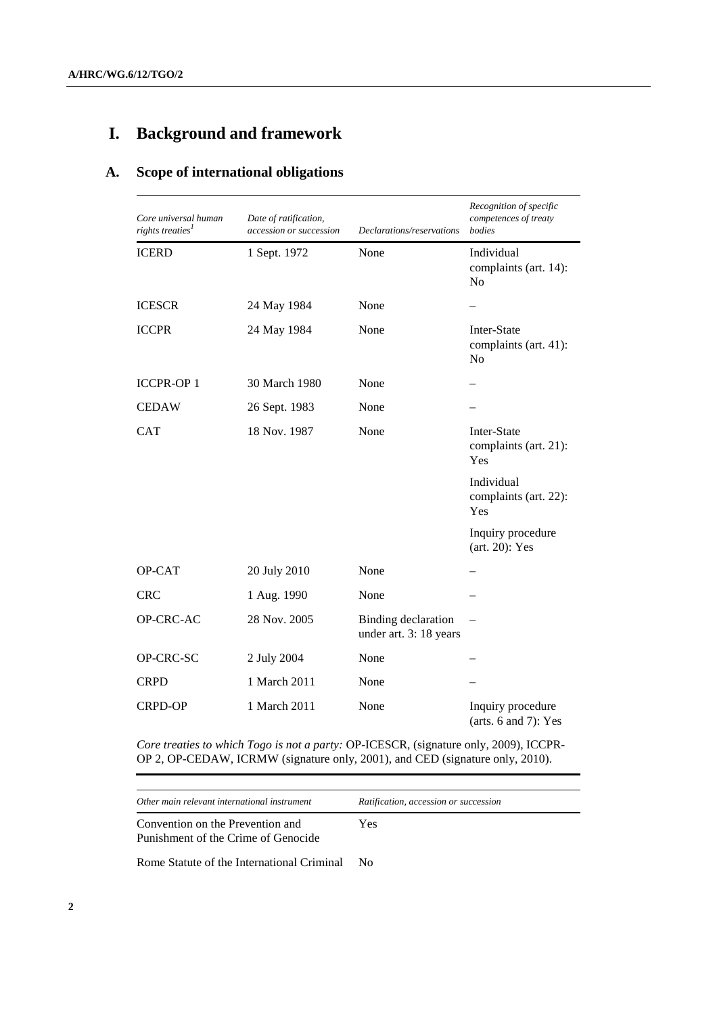# **I. Background and framework**

# **A. Scope of international obligations**

| Core universal human<br>rights treaties <sup>1</sup> | Date of ratification,<br>accession or succession | Declarations/reservations                            | Recognition of specific<br>competences of treaty<br>bodies |
|------------------------------------------------------|--------------------------------------------------|------------------------------------------------------|------------------------------------------------------------|
| <b>ICERD</b>                                         | 1 Sept. 1972                                     | None                                                 | Individual<br>complaints (art. 14):<br>N <sub>o</sub>      |
| <b>ICESCR</b>                                        | 24 May 1984                                      | None                                                 |                                                            |
| <b>ICCPR</b>                                         | 24 May 1984                                      | None                                                 | Inter-State<br>complaints (art. 41):<br>N <sub>o</sub>     |
| <b>ICCPR-OP1</b>                                     | 30 March 1980                                    | None                                                 |                                                            |
| <b>CEDAW</b>                                         | 26 Sept. 1983                                    | None                                                 |                                                            |
| CAT                                                  | 18 Nov. 1987                                     | None                                                 | Inter-State<br>complaints (art. 21):<br>Yes                |
|                                                      |                                                  |                                                      | Individual<br>complaints (art. 22):<br>Yes                 |
|                                                      |                                                  |                                                      | Inquiry procedure<br>$(art. 20)$ : Yes                     |
| OP-CAT                                               | 20 July 2010                                     | None                                                 |                                                            |
| <b>CRC</b>                                           | 1 Aug. 1990                                      | None                                                 |                                                            |
| OP-CRC-AC                                            | 28 Nov. 2005                                     | <b>Binding</b> declaration<br>under art. 3: 18 years |                                                            |
| OP-CRC-SC                                            | 2 July 2004                                      | None                                                 |                                                            |
| <b>CRPD</b>                                          | 1 March 2011                                     | None                                                 |                                                            |
| <b>CRPD-OP</b>                                       | 1 March 2011                                     | None                                                 | Inquiry procedure<br>(arts. $6$ and $7$ ): Yes             |

*Core treaties to which Togo is not a party:* OP-ICESCR, (signature only, 2009), ICCPR-OP 2, OP-CEDAW, ICRMW (signature only, 2001), and CED (signature only, 2010).

*Other main relevant international instrument Ratification, accession or succession*

Convention on the Prevention and Punishment of the Crime of Genocide Yes

Rome Statute of the International Criminal No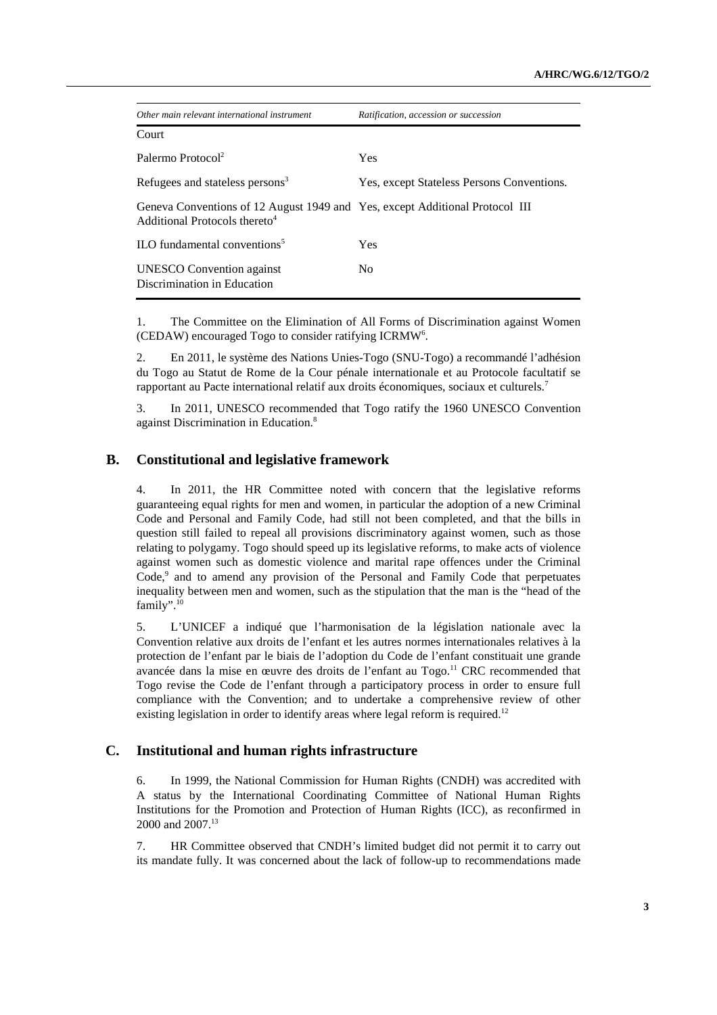| Other main relevant international instrument                                                                              | Ratification, accession or succession      |
|---------------------------------------------------------------------------------------------------------------------------|--------------------------------------------|
| Court                                                                                                                     |                                            |
| Palermo Protocol <sup>2</sup>                                                                                             | <b>Yes</b>                                 |
| Refugees and stateless persons <sup>3</sup>                                                                               | Yes, except Stateless Persons Conventions. |
| Geneva Conventions of 12 August 1949 and Yes, except Additional Protocol III<br>Additional Protocols thereto <sup>4</sup> |                                            |
| ILO fundamental conventions <sup>5</sup>                                                                                  | Yes                                        |
| <b>UNESCO</b> Convention against<br>Discrimination in Education                                                           | N <sub>0</sub>                             |

1. The Committee on the Elimination of All Forms of Discrimination against Women (CEDAW) encouraged Togo to consider ratifying ICRMW<sup>6</sup>.

2. En 2011, le système des Nations Unies-Togo (SNU-Togo) a recommandé l'adhésion du Togo au Statut de Rome de la Cour pénale internationale et au Protocole facultatif se rapportant au Pacte international relatif aux droits économiques, sociaux et culturels.<sup>7</sup>

3. In 2011, UNESCO recommended that Togo ratify the 1960 UNESCO Convention against Discrimination in Education.<sup>8</sup>

## **B. Constitutional and legislative framework**

4. In 2011, the HR Committee noted with concern that the legislative reforms guaranteeing equal rights for men and women, in particular the adoption of a new Criminal Code and Personal and Family Code, had still not been completed, and that the bills in question still failed to repeal all provisions discriminatory against women, such as those relating to polygamy. Togo should speed up its legislative reforms, to make acts of violence against women such as domestic violence and marital rape offences under the Criminal Code,<sup>9</sup> and to amend any provision of the Personal and Family Code that perpetuates inequality between men and women, such as the stipulation that the man is the "head of the family".<sup>10</sup>

5. L'UNICEF a indiqué que l'harmonisation de la législation nationale avec la Convention relative aux droits de l'enfant et les autres normes internationales relatives à la protection de l'enfant par le biais de l'adoption du Code de l'enfant constituait une grande avancée dans la mise en œuvre des droits de l'enfant au Togo.<sup>11</sup> CRC recommended that Togo revise the Code de l'enfant through a participatory process in order to ensure full compliance with the Convention; and to undertake a comprehensive review of other existing legislation in order to identify areas where legal reform is required.<sup>12</sup>

# **C. Institutional and human rights infrastructure**

6. In 1999, the National Commission for Human Rights (CNDH) was accredited with A status by the International Coordinating Committee of National Human Rights Institutions for the Promotion and Protection of Human Rights (ICC), as reconfirmed in 2000 and 2007.<sup>13</sup>

7. HR Committee observed that CNDH's limited budget did not permit it to carry out its mandate fully. It was concerned about the lack of follow-up to recommendations made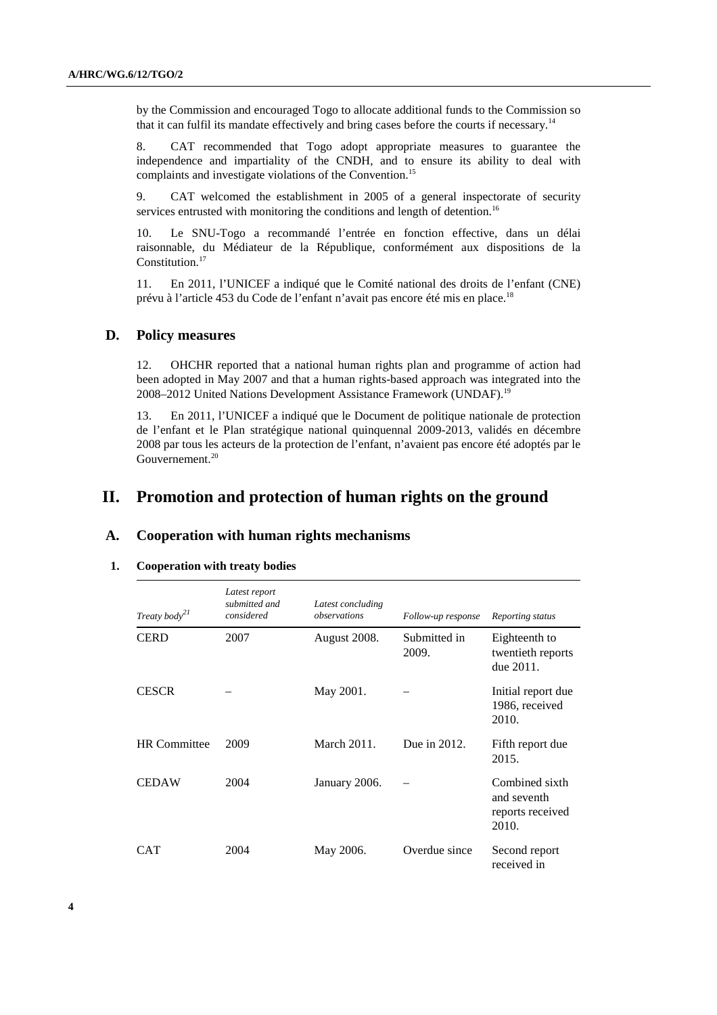by the Commission and encouraged Togo to allocate additional funds to the Commission so that it can fulfil its mandate effectively and bring cases before the courts if necessary.<sup>14</sup>

8. CAT recommended that Togo adopt appropriate measures to guarantee the independence and impartiality of the CNDH, and to ensure its ability to deal with complaints and investigate violations of the Convention.<sup>15</sup>

9. CAT welcomed the establishment in 2005 of a general inspectorate of security services entrusted with monitoring the conditions and length of detention.<sup>16</sup>

10. Le SNU-Togo a recommandé l'entrée en fonction effective, dans un délai raisonnable, du Médiateur de la République, conformément aux dispositions de la Constitution.<sup>17</sup>

11. En 2011, l'UNICEF a indiqué que le Comité national des droits de l'enfant (CNE) prévu à l'article 453 du Code de l'enfant n'avait pas encore été mis en place.<sup>18</sup>

### **D. Policy measures**

12. OHCHR reported that a national human rights plan and programme of action had been adopted in May 2007 and that a human rights-based approach was integrated into the 2008–2012 United Nations Development Assistance Framework (UNDAF).<sup>19</sup>

13. En 2011, l'UNICEF a indiqué que le Document de politique nationale de protection de l'enfant et le Plan stratégique national quinquennal 2009-2013, validés en décembre 2008 par tous les acteurs de la protection de l'enfant, n'avaient pas encore été adoptés par le Gouvernement.<sup>20</sup>

# **II. Promotion and protection of human rights on the ground**

# **A. Cooperation with human rights mechanisms**

| <b>Cooperation with treaty bodies</b> |
|---------------------------------------|
|---------------------------------------|

| Treaty body <sup>21</sup> | Latest report<br>submitted and<br>considered | Latest concluding<br>observations | Follow-up response    | Reporting status                                           |
|---------------------------|----------------------------------------------|-----------------------------------|-----------------------|------------------------------------------------------------|
| <b>CERD</b>               | 2007                                         | August 2008.                      | Submitted in<br>2009. | Eighteenth to<br>twentieth reports<br>due 2011.            |
| <b>CESCR</b>              |                                              | May 2001.                         |                       | Initial report due<br>1986, received<br>2010.              |
| <b>HR</b> Committee       | 2009                                         | March 2011.                       | Due in 2012.          | Fifth report due<br>2015.                                  |
| <b>CEDAW</b>              | 2004                                         | January 2006.                     |                       | Combined sixth<br>and seventh<br>reports received<br>2010. |
| CAT                       | 2004                                         | May 2006.                         | Overdue since         | Second report<br>received in                               |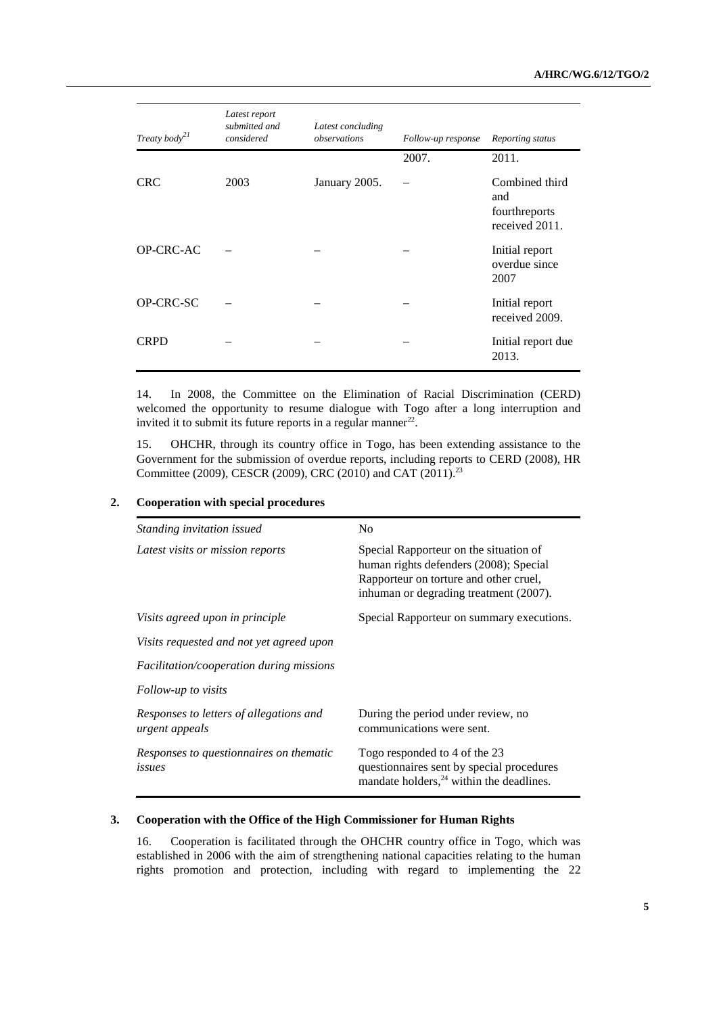| Treaty body $^{21}$ | Latest report<br>submitted and<br>considered | Latest concluding<br>observations | Follow-up response | Reporting status                                         |
|---------------------|----------------------------------------------|-----------------------------------|--------------------|----------------------------------------------------------|
|                     |                                              |                                   | 2007.              | 2011.                                                    |
| <b>CRC</b>          | 2003                                         | January 2005.                     |                    | Combined third<br>and<br>fourthreports<br>received 2011. |
| OP-CRC-AC           |                                              |                                   |                    | Initial report<br>overdue since<br>2007                  |
| OP-CRC-SC           |                                              |                                   |                    | Initial report<br>received 2009.                         |
| <b>CRPD</b>         |                                              |                                   |                    | Initial report due<br>2013.                              |

14. In 2008, the Committee on the Elimination of Racial Discrimination (CERD) welcomed the opportunity to resume dialogue with Togo after a long interruption and invited it to submit its future reports in a regular manner $^{22}$ .

15. OHCHR, through its country office in Togo, has been extending assistance to the Government for the submission of overdue reports, including reports to CERD (2008), HR Committee (2009), CESCR (2009), CRC (2010) and CAT (2011).<sup>23</sup>

| Standing invitation issued                                | N <sub>0</sub>                                                                                                                                                       |
|-----------------------------------------------------------|----------------------------------------------------------------------------------------------------------------------------------------------------------------------|
| Latest visits or mission reports                          | Special Rapporteur on the situation of<br>human rights defenders (2008); Special<br>Rapporteur on torture and other cruel,<br>inhuman or degrading treatment (2007). |
| Visits agreed upon in principle                           | Special Rapporteur on summary executions.                                                                                                                            |
| Visits requested and not yet agreed upon                  |                                                                                                                                                                      |
| <i>Facilitation/cooperation during missions</i>           |                                                                                                                                                                      |
| Follow-up to visits                                       |                                                                                                                                                                      |
| Responses to letters of allegations and<br>urgent appeals | During the period under review, no<br>communications were sent.                                                                                                      |
| Responses to questionnaires on thematic<br>issues         | Togo responded to 4 of the 23<br>questionnaires sent by special procedures<br>mandate holders, $24$ within the deadlines.                                            |

### **2. Cooperation with special procedures**

### **3. Cooperation with the Office of the High Commissioner for Human Rights**

16. Cooperation is facilitated through the OHCHR country office in Togo, which was established in 2006 with the aim of strengthening national capacities relating to the human rights promotion and protection, including with regard to implementing the 22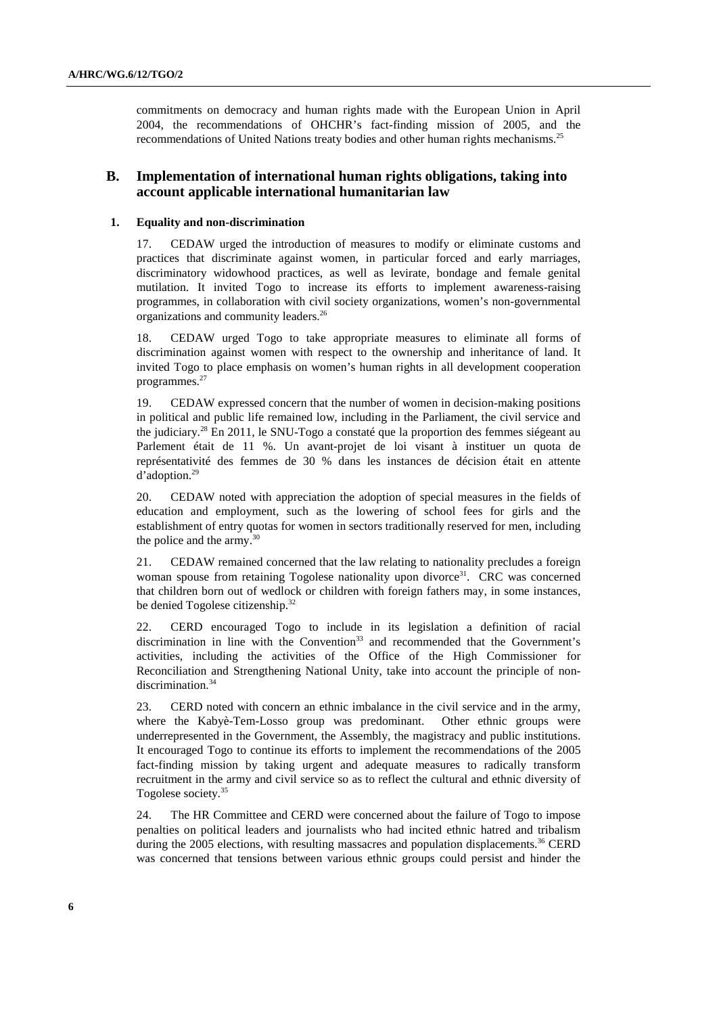commitments on democracy and human rights made with the European Union in April 2004, the recommendations of OHCHR's fact-finding mission of 2005, and the recommendations of United Nations treaty bodies and other human rights mechanisms.<sup>25</sup>

# **B. Implementation of international human rights obligations, taking into account applicable international humanitarian law**

#### **1. Equality and non-discrimination**

17. CEDAW urged the introduction of measures to modify or eliminate customs and practices that discriminate against women, in particular forced and early marriages, discriminatory widowhood practices, as well as levirate, bondage and female genital mutilation. It invited Togo to increase its efforts to implement awareness-raising programmes, in collaboration with civil society organizations, women's non-governmental organizations and community leaders.<sup>26</sup>

18. CEDAW urged Togo to take appropriate measures to eliminate all forms of discrimination against women with respect to the ownership and inheritance of land. It invited Togo to place emphasis on women's human rights in all development cooperation programmes.<sup>27</sup>

19. CEDAW expressed concern that the number of women in decision-making positions in political and public life remained low, including in the Parliament, the civil service and the judiciary.<sup>28</sup> En 2011, le SNU-Togo a constaté que la proportion des femmes siégeant au Parlement était de 11 %. Un avant-projet de loi visant à instituer un quota de représentativité des femmes de 30 % dans les instances de décision était en attente d'adoption.<sup>29</sup>

20. CEDAW noted with appreciation the adoption of special measures in the fields of education and employment, such as the lowering of school fees for girls and the establishment of entry quotas for women in sectors traditionally reserved for men, including the police and the army.<sup>30</sup>

21. CEDAW remained concerned that the law relating to nationality precludes a foreign woman spouse from retaining Togolese nationality upon divorce<sup>31</sup>. CRC was concerned that children born out of wedlock or children with foreign fathers may, in some instances, be denied Togolese citizenship.<sup>32</sup>

22. CERD encouraged Togo to include in its legislation a definition of racial discrimination in line with the Convention<sup>33</sup> and recommended that the Government's activities, including the activities of the Office of the High Commissioner for Reconciliation and Strengthening National Unity, take into account the principle of nondiscrimination.<sup>34</sup>

23. CERD noted with concern an ethnic imbalance in the civil service and in the army, where the Kabyè-Tem-Losso group was predominant. Other ethnic groups were underrepresented in the Government, the Assembly, the magistracy and public institutions. It encouraged Togo to continue its efforts to implement the recommendations of the 2005 fact-finding mission by taking urgent and adequate measures to radically transform recruitment in the army and civil service so as to reflect the cultural and ethnic diversity of Togolese society.<sup>35</sup>

24. The HR Committee and CERD were concerned about the failure of Togo to impose penalties on political leaders and journalists who had incited ethnic hatred and tribalism during the 2005 elections, with resulting massacres and population displacements.<sup>36</sup> CERD was concerned that tensions between various ethnic groups could persist and hinder the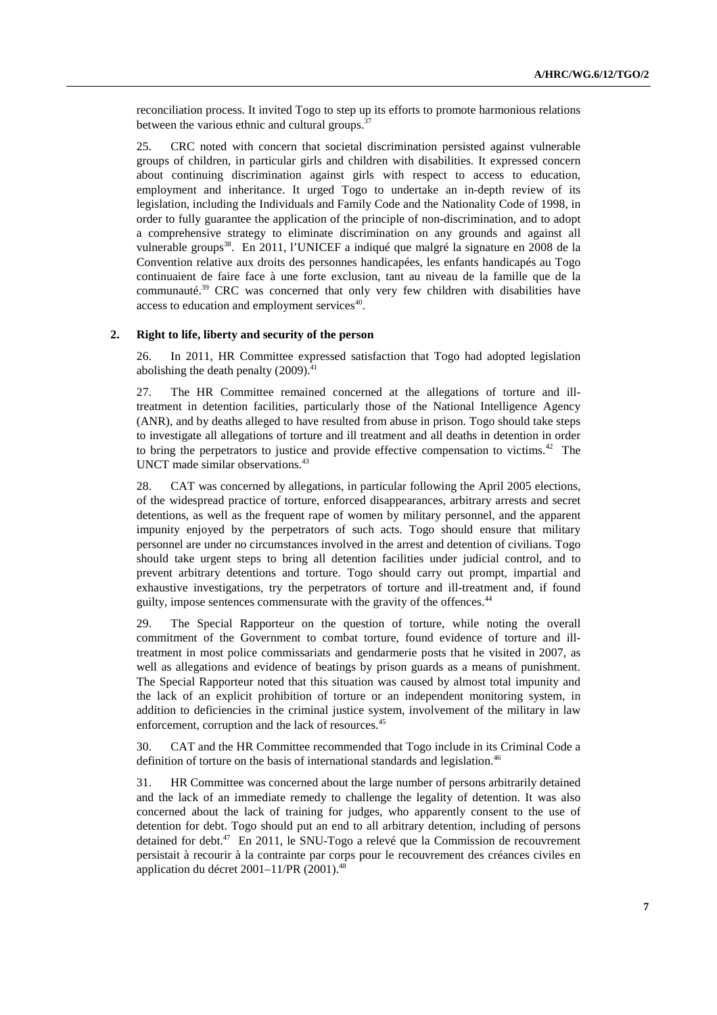reconciliation process. It invited Togo to step up its efforts to promote harmonious relations between the various ethnic and cultural groups. $37$ 

25. CRC noted with concern that societal discrimination persisted against vulnerable groups of children, in particular girls and children with disabilities. It expressed concern about continuing discrimination against girls with respect to access to education, employment and inheritance. It urged Togo to undertake an in-depth review of its legislation, including the Individuals and Family Code and the Nationality Code of 1998, in order to fully guarantee the application of the principle of non-discrimination, and to adopt a comprehensive strategy to eliminate discrimination on any grounds and against all vulnerable groups<sup>38</sup>. En 2011, l'UNICEF a indiqué que malgré la signature en 2008 de la Convention relative aux droits des personnes handicapées, les enfants handicapés au Togo continuaient de faire face à une forte exclusion, tant au niveau de la famille que de la communauté.<sup>39</sup> CRC was concerned that only very few children with disabilities have access to education and employment services<sup>40</sup>.

### **2. Right to life, liberty and security of the person**

26. In 2011, HR Committee expressed satisfaction that Togo had adopted legislation abolishing the death penalty  $(2009)^{41}$ 

27. The HR Committee remained concerned at the allegations of torture and illtreatment in detention facilities, particularly those of the National Intelligence Agency (ANR), and by deaths alleged to have resulted from abuse in prison. Togo should take steps to investigate all allegations of torture and ill treatment and all deaths in detention in order to bring the perpetrators to justice and provide effective compensation to victims.<sup>42</sup> The UNCT made similar observations.<sup>43</sup>

28. CAT was concerned by allegations, in particular following the April 2005 elections, of the widespread practice of torture, enforced disappearances, arbitrary arrests and secret detentions, as well as the frequent rape of women by military personnel, and the apparent impunity enjoyed by the perpetrators of such acts. Togo should ensure that military personnel are under no circumstances involved in the arrest and detention of civilians. Togo should take urgent steps to bring all detention facilities under judicial control, and to prevent arbitrary detentions and torture. Togo should carry out prompt, impartial and exhaustive investigations, try the perpetrators of torture and ill-treatment and, if found guilty, impose sentences commensurate with the gravity of the offences.<sup>44</sup>

29. The Special Rapporteur on the question of torture, while noting the overall commitment of the Government to combat torture, found evidence of torture and illtreatment in most police commissariats and gendarmerie posts that he visited in 2007, as well as allegations and evidence of beatings by prison guards as a means of punishment. The Special Rapporteur noted that this situation was caused by almost total impunity and the lack of an explicit prohibition of torture or an independent monitoring system, in addition to deficiencies in the criminal justice system, involvement of the military in law enforcement, corruption and the lack of resources.<sup>45</sup>

30. CAT and the HR Committee recommended that Togo include in its Criminal Code a definition of torture on the basis of international standards and legislation.<sup>46</sup>

31. HR Committee was concerned about the large number of persons arbitrarily detained and the lack of an immediate remedy to challenge the legality of detention. It was also concerned about the lack of training for judges, who apparently consent to the use of detention for debt. Togo should put an end to all arbitrary detention, including of persons detained for debt.<sup>47</sup> En 2011, le SNU-Togo a relevé que la Commission de recouvrement persistait à recourir à la contrainte par corps pour le recouvrement des créances civiles en application du décret  $2001-11/PR$  (2001).<sup>48</sup>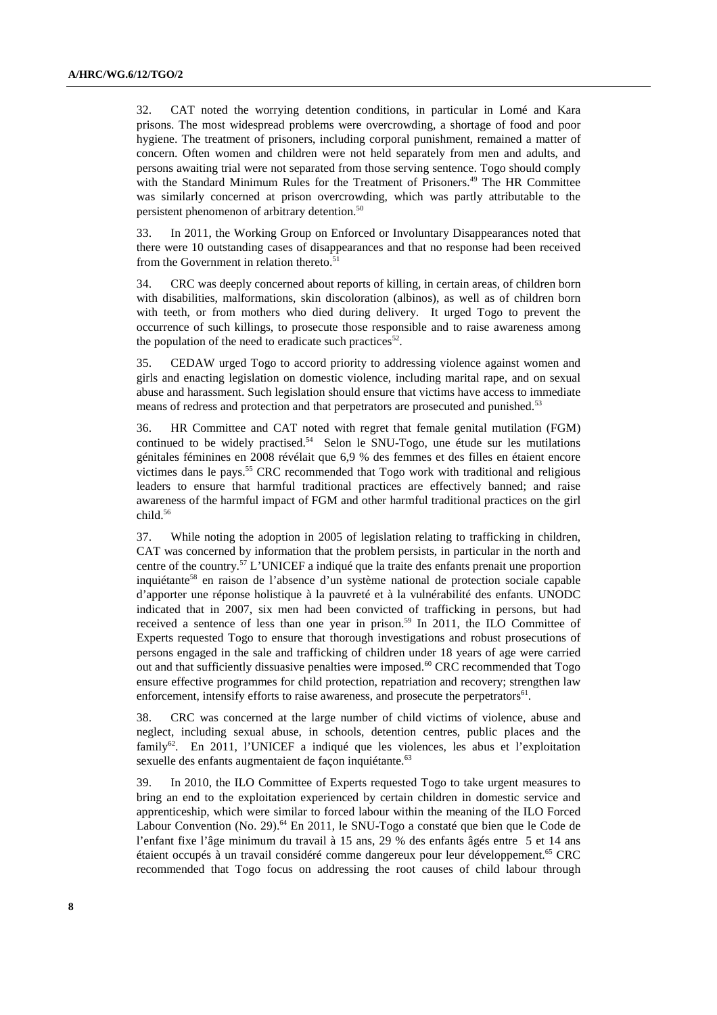32. CAT noted the worrying detention conditions, in particular in Lomé and Kara prisons. The most widespread problems were overcrowding, a shortage of food and poor hygiene. The treatment of prisoners, including corporal punishment, remained a matter of concern. Often women and children were not held separately from men and adults, and persons awaiting trial were not separated from those serving sentence. Togo should comply with the Standard Minimum Rules for the Treatment of Prisoners.<sup>49</sup> The HR Committee was similarly concerned at prison overcrowding, which was partly attributable to the persistent phenomenon of arbitrary detention.<sup>50</sup>

33. In 2011, the Working Group on Enforced or Involuntary Disappearances noted that there were 10 outstanding cases of disappearances and that no response had been received from the Government in relation thereto.<sup>51</sup>

34. CRC was deeply concerned about reports of killing, in certain areas, of children born with disabilities, malformations, skin discoloration (albinos), as well as of children born with teeth, or from mothers who died during delivery. It urged Togo to prevent the occurrence of such killings, to prosecute those responsible and to raise awareness among the population of the need to eradicate such practices<sup>52</sup>.

35. CEDAW urged Togo to accord priority to addressing violence against women and girls and enacting legislation on domestic violence, including marital rape, and on sexual abuse and harassment. Such legislation should ensure that victims have access to immediate means of redress and protection and that perpetrators are prosecuted and punished.<sup>53</sup>

36. HR Committee and CAT noted with regret that female genital mutilation (FGM) continued to be widely practised.<sup>54</sup> Selon le SNU-Togo, une étude sur les mutilations génitales féminines en 2008 révélait que 6,9 % des femmes et des filles en étaient encore victimes dans le pays.<sup>55</sup> CRC recommended that Togo work with traditional and religious leaders to ensure that harmful traditional practices are effectively banned; and raise awareness of the harmful impact of FGM and other harmful traditional practices on the girl child.<sup>56</sup>

37. While noting the adoption in 2005 of legislation relating to trafficking in children, CAT was concerned by information that the problem persists, in particular in the north and centre of the country.<sup>57</sup> L'UNICEF a indiqué que la traite des enfants prenait une proportion inquiétante<sup>58</sup> en raison de l'absence d'un système national de protection sociale capable d'apporter une réponse holistique à la pauvreté et à la vulnérabilité des enfants. UNODC indicated that in 2007, six men had been convicted of trafficking in persons, but had received a sentence of less than one year in prison.<sup>59</sup> In 2011, the ILO Committee of Experts requested Togo to ensure that thorough investigations and robust prosecutions of persons engaged in the sale and trafficking of children under 18 years of age were carried out and that sufficiently dissuasive penalties were imposed.<sup>60</sup> CRC recommended that Togo ensure effective programmes for child protection, repatriation and recovery; strengthen law enforcement, intensify efforts to raise awareness, and prosecute the perpetrators $61$ .

38. CRC was concerned at the large number of child victims of violence, abuse and neglect, including sexual abuse, in schools, detention centres, public places and the family<sup>62</sup>. En 2011, l'UNICEF a indiqué que les violences, les abus et l'exploitation sexuelle des enfants augmentaient de façon inquiétante.<sup>63</sup>

39. In 2010, the ILO Committee of Experts requested Togo to take urgent measures to bring an end to the exploitation experienced by certain children in domestic service and apprenticeship, which were similar to forced labour within the meaning of the ILO Forced Labour Convention (No. 29).<sup>64</sup> En 2011, le SNU-Togo a constaté que bien que le Code de l'enfant fixe l'âge minimum du travail à 15 ans, 29 % des enfants âgés entre 5 et 14 ans étaient occupés à un travail considéré comme dangereux pour leur développement.<sup>65</sup> CRC recommended that Togo focus on addressing the root causes of child labour through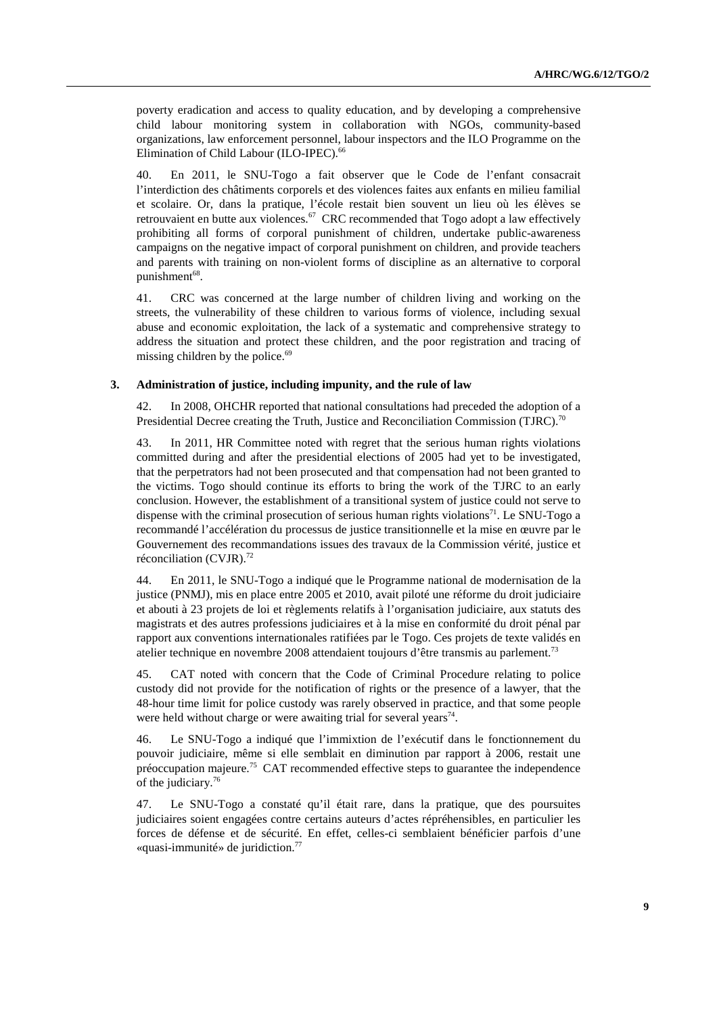poverty eradication and access to quality education, and by developing a comprehensive child labour monitoring system in collaboration with NGOs, community-based organizations, law enforcement personnel, labour inspectors and the ILO Programme on the Elimination of Child Labour (ILO-IPEC).<sup>66</sup>

40. En 2011, le SNU-Togo a fait observer que le Code de l'enfant consacrait l'interdiction des châtiments corporels et des violences faites aux enfants en milieu familial et scolaire. Or, dans la pratique, l'école restait bien souvent un lieu où les élèves se retrouvaient en butte aux violences.<sup>67</sup> CRC recommended that Togo adopt a law effectively prohibiting all forms of corporal punishment of children, undertake public-awareness campaigns on the negative impact of corporal punishment on children, and provide teachers and parents with training on non-violent forms of discipline as an alternative to corporal punishment<sup>68</sup>.

41. CRC was concerned at the large number of children living and working on the streets, the vulnerability of these children to various forms of violence, including sexual abuse and economic exploitation, the lack of a systematic and comprehensive strategy to address the situation and protect these children, and the poor registration and tracing of missing children by the police.<sup>69</sup>

#### **3. Administration of justice, including impunity, and the rule of law**

42. In 2008, OHCHR reported that national consultations had preceded the adoption of a Presidential Decree creating the Truth, Justice and Reconciliation Commission (TJRC).<sup>70</sup>

43. In 2011, HR Committee noted with regret that the serious human rights violations committed during and after the presidential elections of 2005 had yet to be investigated, that the perpetrators had not been prosecuted and that compensation had not been granted to the victims. Togo should continue its efforts to bring the work of the TJRC to an early conclusion. However, the establishment of a transitional system of justice could not serve to dispense with the criminal prosecution of serious human rights violations<sup>71</sup>. Le SNU-Togo a recommandé l'accélération du processus de justice transitionnelle et la mise en œuvre par le Gouvernement des recommandations issues des travaux de la Commission vérité, justice et réconciliation (CVJR). $^{72}$ 

44. En 2011, le SNU-Togo a indiqué que le Programme national de modernisation de la justice (PNMJ), mis en place entre 2005 et 2010, avait piloté une réforme du droit judiciaire et abouti à 23 projets de loi et règlements relatifs à l'organisation judiciaire, aux statuts des magistrats et des autres professions judiciaires et à la mise en conformité du droit pénal par rapport aux conventions internationales ratifiées par le Togo. Ces projets de texte validés en atelier technique en novembre 2008 attendaient toujours d'être transmis au parlement.<sup>73</sup>

45. CAT noted with concern that the Code of Criminal Procedure relating to police custody did not provide for the notification of rights or the presence of a lawyer, that the 48-hour time limit for police custody was rarely observed in practice, and that some people were held without charge or were awaiting trial for several years<sup>74</sup>.

46. Le SNU-Togo a indiqué que l'immixtion de l'exécutif dans le fonctionnement du pouvoir judiciaire, même si elle semblait en diminution par rapport à 2006, restait une préoccupation majeure.<sup>75</sup> CAT recommended effective steps to guarantee the independence of the judiciary.<sup>76</sup>

47. Le SNU-Togo a constaté qu'il était rare, dans la pratique, que des poursuites judiciaires soient engagées contre certains auteurs d'actes répréhensibles, en particulier les forces de défense et de sécurité. En effet, celles-ci semblaient bénéficier parfois d'une «quasi-immunité» de juridiction.77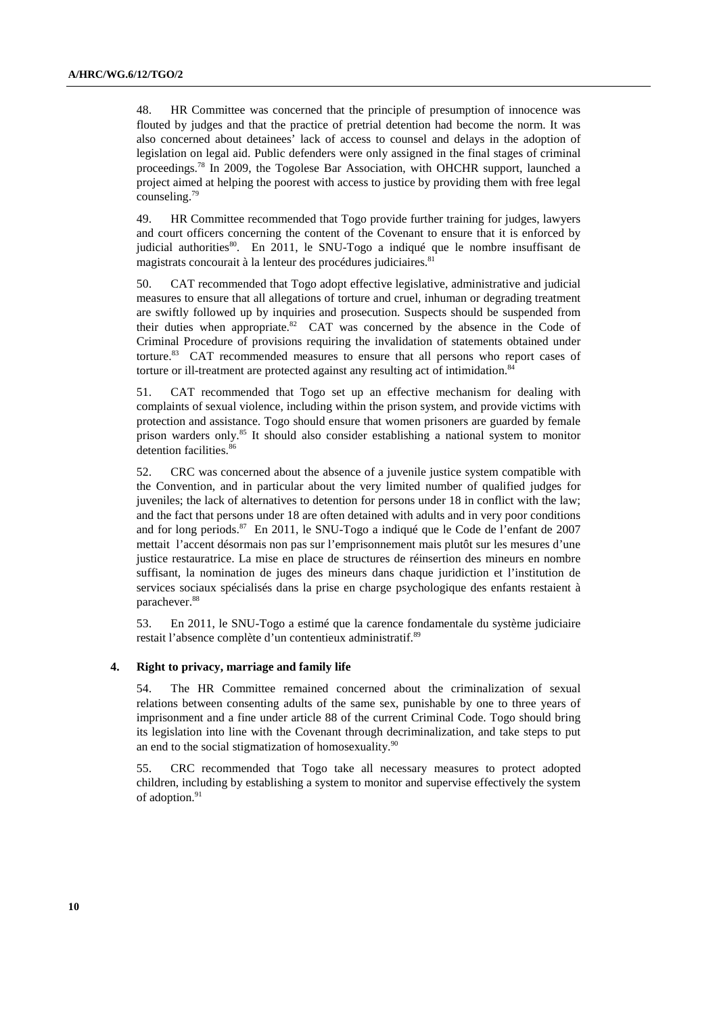48. HR Committee was concerned that the principle of presumption of innocence was flouted by judges and that the practice of pretrial detention had become the norm. It was also concerned about detainees' lack of access to counsel and delays in the adoption of legislation on legal aid. Public defenders were only assigned in the final stages of criminal proceedings.<sup>78</sup> In 2009, the Togolese Bar Association, with OHCHR support, launched a project aimed at helping the poorest with access to justice by providing them with free legal counseling.<sup>79</sup>

49. HR Committee recommended that Togo provide further training for judges, lawyers and court officers concerning the content of the Covenant to ensure that it is enforced by judicial authorities<sup>80</sup>. En 2011, le SNU-Togo a indiqué que le nombre insuffisant de magistrats concourait à la lenteur des procédures judiciaires.<sup>81</sup>

50. CAT recommended that Togo adopt effective legislative, administrative and judicial measures to ensure that all allegations of torture and cruel, inhuman or degrading treatment are swiftly followed up by inquiries and prosecution. Suspects should be suspended from their duties when appropriate. $82$  CAT was concerned by the absence in the Code of Criminal Procedure of provisions requiring the invalidation of statements obtained under torture.<sup>83</sup> CAT recommended measures to ensure that all persons who report cases of torture or ill-treatment are protected against any resulting act of intimidation.<sup>84</sup>

51. CAT recommended that Togo set up an effective mechanism for dealing with complaints of sexual violence, including within the prison system, and provide victims with protection and assistance. Togo should ensure that women prisoners are guarded by female prison warders only.<sup>85</sup> It should also consider establishing a national system to monitor detention facilities.<sup>86</sup>

52. CRC was concerned about the absence of a juvenile justice system compatible with the Convention, and in particular about the very limited number of qualified judges for juveniles; the lack of alternatives to detention for persons under 18 in conflict with the law; and the fact that persons under 18 are often detained with adults and in very poor conditions and for long periods.<sup>87</sup> En 2011, le SNU-Togo a indiqué que le Code de l'enfant de 2007 mettait l'accent désormais non pas sur l'emprisonnement mais plutôt sur les mesures d'une justice restauratrice. La mise en place de structures de réinsertion des mineurs en nombre suffisant, la nomination de juges des mineurs dans chaque juridiction et l'institution de services sociaux spécialisés dans la prise en charge psychologique des enfants restaient à parachever.<sup>88</sup>

53. En 2011, le SNU-Togo a estimé que la carence fondamentale du système judiciaire restait l'absence complète d'un contentieux administratif.<sup>89</sup>

#### **4. Right to privacy, marriage and family life**

54. The HR Committee remained concerned about the criminalization of sexual relations between consenting adults of the same sex, punishable by one to three years of imprisonment and a fine under article 88 of the current Criminal Code. Togo should bring its legislation into line with the Covenant through decriminalization, and take steps to put an end to the social stigmatization of homosexuality. $90$ 

55. CRC recommended that Togo take all necessary measures to protect adopted children, including by establishing a system to monitor and supervise effectively the system of adoption.<sup>91</sup>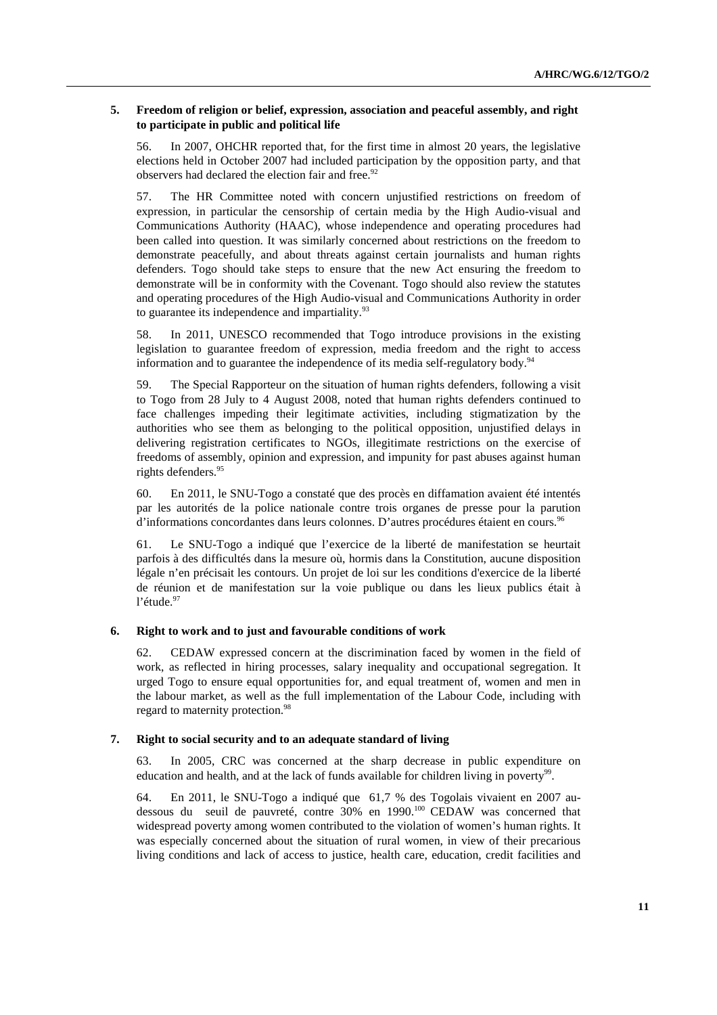### **5. Freedom of religion or belief, expression, association and peaceful assembly, and right to participate in public and political life**

56. In 2007, OHCHR reported that, for the first time in almost 20 years, the legislative elections held in October 2007 had included participation by the opposition party, and that observers had declared the election fair and free. $92$ 

57. The HR Committee noted with concern unjustified restrictions on freedom of expression, in particular the censorship of certain media by the High Audio-visual and Communications Authority (HAAC), whose independence and operating procedures had been called into question. It was similarly concerned about restrictions on the freedom to demonstrate peacefully, and about threats against certain journalists and human rights defenders. Togo should take steps to ensure that the new Act ensuring the freedom to demonstrate will be in conformity with the Covenant. Togo should also review the statutes and operating procedures of the High Audio-visual and Communications Authority in order to guarantee its independence and impartiality. $93$ 

58. In 2011, UNESCO recommended that Togo introduce provisions in the existing legislation to guarantee freedom of expression, media freedom and the right to access information and to guarantee the independence of its media self-regulatory body.<sup>94</sup>

59. The Special Rapporteur on the situation of human rights defenders, following a visit to Togo from 28 July to 4 August 2008, noted that human rights defenders continued to face challenges impeding their legitimate activities, including stigmatization by the authorities who see them as belonging to the political opposition, unjustified delays in delivering registration certificates to NGOs, illegitimate restrictions on the exercise of freedoms of assembly, opinion and expression, and impunity for past abuses against human rights defenders.<sup>95</sup>

60. En 2011, le SNU-Togo a constaté que des procès en diffamation avaient été intentés par les autorités de la police nationale contre trois organes de presse pour la parution d'informations concordantes dans leurs colonnes. D'autres procédures étaient en cours.<sup>96</sup>

61. Le SNU-Togo a indiqué que l'exercice de la liberté de manifestation se heurtait parfois à des difficultés dans la mesure où, hormis dans la Constitution, aucune disposition légale n'en précisait les contours. Un projet de loi sur les conditions d'exercice de la liberté de réunion et de manifestation sur la voie publique ou dans les lieux publics était à l'étude.<sup>97</sup>

### **6. Right to work and to just and favourable conditions of work**

62. CEDAW expressed concern at the discrimination faced by women in the field of work, as reflected in hiring processes, salary inequality and occupational segregation. It urged Togo to ensure equal opportunities for, and equal treatment of, women and men in the labour market, as well as the full implementation of the Labour Code, including with regard to maternity protection.<sup>98</sup>

### **7. Right to social security and to an adequate standard of living**

63. In 2005, CRC was concerned at the sharp decrease in public expenditure on education and health, and at the lack of funds available for children living in poverty<sup>99</sup>.

64. En 2011, le SNU-Togo a indiqué que 61,7 % des Togolais vivaient en 2007 audessous du seuil de pauvreté, contre 30% en 1990.<sup>100</sup> CEDAW was concerned that widespread poverty among women contributed to the violation of women's human rights. It was especially concerned about the situation of rural women, in view of their precarious living conditions and lack of access to justice, health care, education, credit facilities and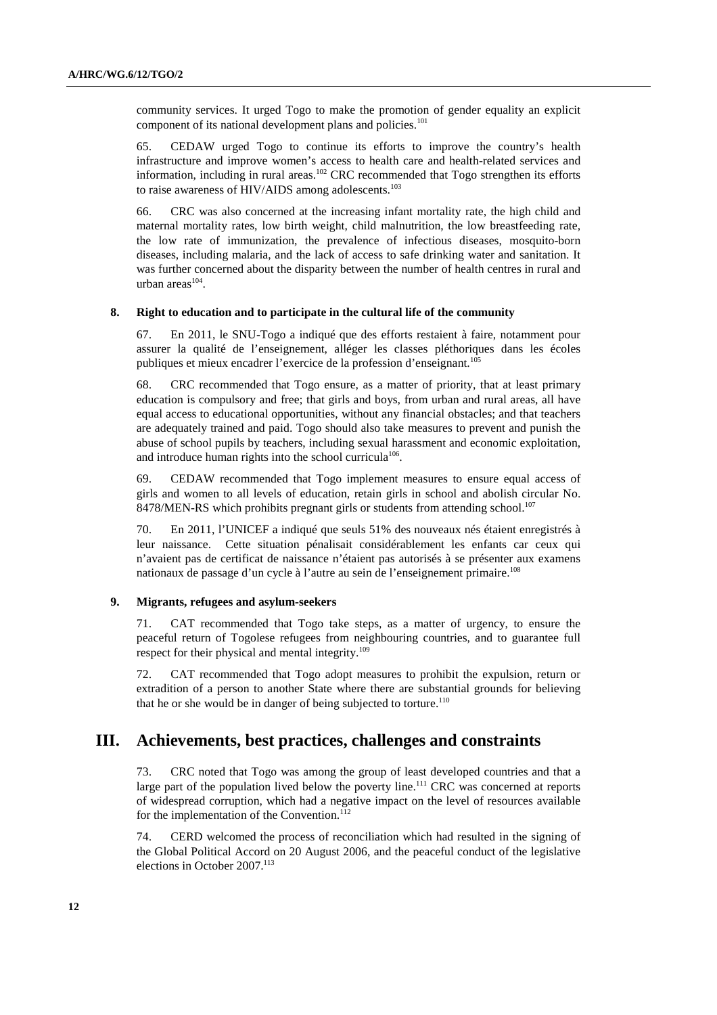community services. It urged Togo to make the promotion of gender equality an explicit component of its national development plans and policies.<sup>101</sup>

65. CEDAW urged Togo to continue its efforts to improve the country's health infrastructure and improve women's access to health care and health-related services and information, including in rural areas.<sup>102</sup> CRC recommended that Togo strengthen its efforts to raise awareness of HIV/AIDS among adolescents.<sup>103</sup>

66. CRC was also concerned at the increasing infant mortality rate, the high child and maternal mortality rates, low birth weight, child malnutrition, the low breastfeeding rate, the low rate of immunization, the prevalence of infectious diseases, mosquito-born diseases, including malaria, and the lack of access to safe drinking water and sanitation. It was further concerned about the disparity between the number of health centres in rural and  $urban area<sup>104</sup>$ .

### **8. Right to education and to participate in the cultural life of the community**

67. En 2011, le SNU-Togo a indiqué que des efforts restaient à faire, notamment pour assurer la qualité de l'enseignement, alléger les classes pléthoriques dans les écoles publiques et mieux encadrer l'exercice de la profession d'enseignant.<sup>105</sup>

68. CRC recommended that Togo ensure, as a matter of priority, that at least primary education is compulsory and free; that girls and boys, from urban and rural areas, all have equal access to educational opportunities, without any financial obstacles; and that teachers are adequately trained and paid. Togo should also take measures to prevent and punish the abuse of school pupils by teachers, including sexual harassment and economic exploitation, and introduce human rights into the school curricula<sup>106</sup>.

69. CEDAW recommended that Togo implement measures to ensure equal access of girls and women to all levels of education, retain girls in school and abolish circular No. 8478/MEN-RS which prohibits pregnant girls or students from attending school.<sup>107</sup>

70. En 2011, l'UNICEF a indiqué que seuls 51% des nouveaux nés étaient enregistrés à leur naissance. Cette situation pénalisait considérablement les enfants car ceux qui n'avaient pas de certificat de naissance n'étaient pas autorisés à se présenter aux examens nationaux de passage d'un cycle à l'autre au sein de l'enseignement primaire.<sup>108</sup>

#### **9. Migrants, refugees and asylum-seekers**

71. CAT recommended that Togo take steps, as a matter of urgency, to ensure the peaceful return of Togolese refugees from neighbouring countries, and to guarantee full respect for their physical and mental integrity.<sup>109</sup>

72. CAT recommended that Togo adopt measures to prohibit the expulsion, return or extradition of a person to another State where there are substantial grounds for believing that he or she would be in danger of being subjected to torture. $110$ 

# **III. Achievements, best practices, challenges and constraints**

73. CRC noted that Togo was among the group of least developed countries and that a large part of the population lived below the poverty line.<sup>111</sup> CRC was concerned at reports of widespread corruption, which had a negative impact on the level of resources available for the implementation of the Convention.<sup>112</sup>

74. CERD welcomed the process of reconciliation which had resulted in the signing of the Global Political Accord on 20 August 2006, and the peaceful conduct of the legislative elections in October 2007.<sup>113</sup>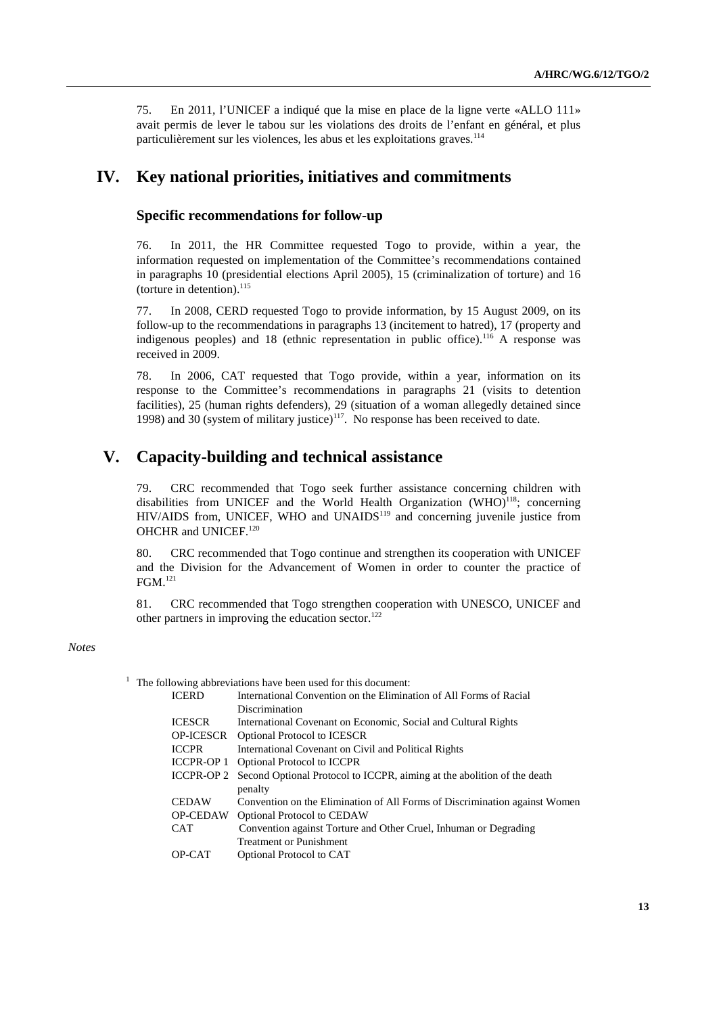75. En 2011, l'UNICEF a indiqué que la mise en place de la ligne verte «ALLO 111» avait permis de lever le tabou sur les violations des droits de l'enfant en général, et plus particulièrement sur les violences, les abus et les exploitations graves.<sup>114</sup>

# **IV. Key national priorities, initiatives and commitments**

### **Specific recommendations for follow-up**

76. In 2011, the HR Committee requested Togo to provide, within a year, the information requested on implementation of the Committee's recommendations contained in paragraphs 10 (presidential elections April 2005), 15 (criminalization of torture) and 16 (torture in detention). $^{115}$ 

77. In 2008, CERD requested Togo to provide information, by 15 August 2009, on its follow-up to the recommendations in paragraphs 13 (incitement to hatred), 17 (property and indigenous peoples) and  $18$  (ethnic representation in public office).<sup>116</sup> A response was received in 2009.

78. In 2006, CAT requested that Togo provide, within a year, information on its response to the Committee's recommendations in paragraphs 21 (visits to detention facilities), 25 (human rights defenders), 29 (situation of a woman allegedly detained since 1998) and 30 (system of military justice)<sup>117</sup>. No response has been received to date.

# **V. Capacity-building and technical assistance**

79. CRC recommended that Togo seek further assistance concerning children with disabilities from UNICEF and the World Health Organization  $(WHO)^{118}$ ; concerning HIV/AIDS from, UNICEF, WHO and UNAIDS<sup>119</sup> and concerning juvenile justice from OHCHR and UNICEF.<sup>120</sup>

80. CRC recommended that Togo continue and strengthen its cooperation with UNICEF and the Division for the Advancement of Women in order to counter the practice of FGM.<sup>121</sup>

81. CRC recommended that Togo strengthen cooperation with UNESCO, UNICEF and other partners in improving the education sector. $122$ 

#### *Notes*

 $<sup>1</sup>$  The following abbreviations have been used for this document:</sup>

| International Convention on the Elimination of All Forms of Racial                 |
|------------------------------------------------------------------------------------|
| Discrimination                                                                     |
| International Covenant on Economic, Social and Cultural Rights                     |
| <b>Optional Protocol to ICESCR</b>                                                 |
| International Covenant on Civil and Political Rights                               |
| ICCPR-OP 1 Optional Protocol to ICCPR                                              |
| ICCPR-OP 2 Second Optional Protocol to ICCPR, aiming at the abolition of the death |
| penalty                                                                            |
| Convention on the Elimination of All Forms of Discrimination against Women         |
| <b>Optional Protocol to CEDAW</b>                                                  |
| Convention against Torture and Other Cruel, Inhuman or Degrading                   |
| <b>Treatment or Punishment</b>                                                     |
| Optional Protocol to CAT                                                           |
|                                                                                    |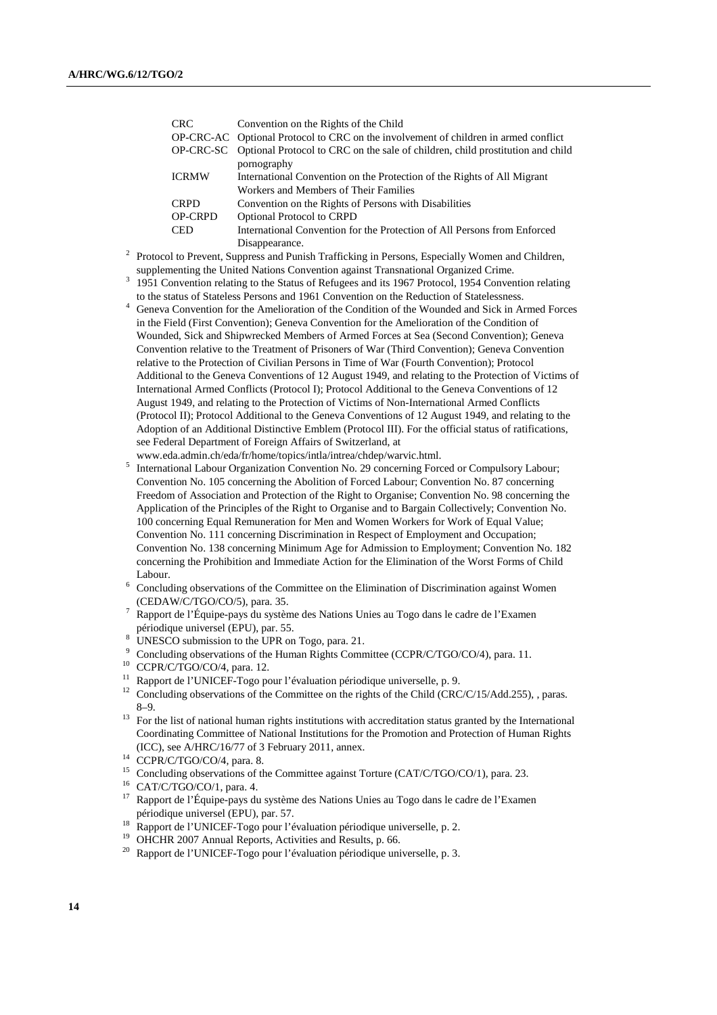| CRC.           | Convention on the Rights of the Child                                                    |
|----------------|------------------------------------------------------------------------------------------|
|                | OP-CRC-AC Optional Protocol to CRC on the involvement of children in armed conflict      |
|                | OP-CRC-SC Optional Protocol to CRC on the sale of children, child prostitution and child |
|                | pornography                                                                              |
| <b>ICRMW</b>   | International Convention on the Protection of the Rights of All Migrant                  |
|                | Workers and Members of Their Families                                                    |
| <b>CRPD</b>    | Convention on the Rights of Persons with Disabilities                                    |
| <b>OP-CRPD</b> | Optional Protocol to CRPD                                                                |
| <b>CED</b>     | International Convention for the Protection of All Persons from Enforced                 |
|                | Disappearance.                                                                           |

2 Protocol to Prevent, Suppress and Punish Trafficking in Persons, Especially Women and Children, supplementing the United Nations Convention against Transnational Organized Crime.

<sup>3</sup> 1951 Convention relating to the Status of Refugees and its 1967 Protocol, 1954 Convention relating to the status of Stateless Persons and 1961 Convention on the Reduction of Statelessness.

- <sup>4</sup> Geneva Convention for the Amelioration of the Condition of the Wounded and Sick in Armed Forces in the Field (First Convention); Geneva Convention for the Amelioration of the Condition of Wounded, Sick and Shipwrecked Members of Armed Forces at Sea (Second Convention); Geneva Convention relative to the Treatment of Prisoners of War (Third Convention); Geneva Convention relative to the Protection of Civilian Persons in Time of War (Fourth Convention); Protocol Additional to the Geneva Conventions of 12 August 1949, and relating to the Protection of Victims of International Armed Conflicts (Protocol I); Protocol Additional to the Geneva Conventions of 12 August 1949, and relating to the Protection of Victims of Non-International Armed Conflicts (Protocol II); Protocol Additional to the Geneva Conventions of 12 August 1949, and relating to the Adoption of an Additional Distinctive Emblem (Protocol III). For the official status of ratifications, see Federal Department of Foreign Affairs of Switzerland, at
- www.eda.admin.ch/eda/fr/home/topics/intla/intrea/chdep/warvic.html. 5 International Labour Organization Convention No. 29 concerning Forced or Compulsory Labour;
- Convention No. 105 concerning the Abolition of Forced Labour; Convention No. 87 concerning Freedom of Association and Protection of the Right to Organise; Convention No. 98 concerning the Application of the Principles of the Right to Organise and to Bargain Collectively; Convention No. 100 concerning Equal Remuneration for Men and Women Workers for Work of Equal Value; Convention No. 111 concerning Discrimination in Respect of Employment and Occupation; Convention No. 138 concerning Minimum Age for Admission to Employment; Convention No. 182 concerning the Prohibition and Immediate Action for the Elimination of the Worst Forms of Child Labour.
- 6 Concluding observations of the Committee on the Elimination of Discrimination against Women (CEDAW/C/TGO/CO/5), para. 35.
- 7 Rapport de l'Équipe-pays du système des Nations Unies au Togo dans le cadre de l'Examen périodique universel (EPU), par. 55.
- <sup>8</sup> UNESCO submission to the UPR on Togo, para. 21.
- <sup>9</sup> Concluding observations of the Human Rights Committee (CCPR/C/TGO/CO/4), para. 11.
- <sup>10</sup> CCPR/C/TGO/CO/4, para. 12.
- <sup>11</sup> Rapport de l'UNICEF-Togo pour l'évaluation périodique universelle, p. 9.
- <sup>12</sup> Concluding observations of the Committee on the rights of the Child (CRC/C/15/Add.255), , paras. 8–9.
- <sup>13</sup> For the list of national human rights institutions with accreditation status granted by the International Coordinating Committee of National Institutions for the Promotion and Protection of Human Rights (ICC), see A/HRC/16/77 of 3 February 2011, annex.
- <sup>14</sup> CCPR/C/TGO/CO/4, para. 8.
- <sup>15</sup> Concluding observations of the Committee against Torture (CAT/C/TGO/CO/1), para. 23.
- <sup>16</sup> CAT/C/TGO/CO/1, para. 4.<br><sup>17</sup> Pennert de l'Équine neus du
- <sup>17</sup> Rapport de l'Équipe-pays du système des Nations Unies au Togo dans le cadre de l'Examen périodique universel (EPU), par. 57.
- <sup>18</sup> Rapport de l'UNICEF-Togo pour l'évaluation périodique universelle, p. 2.
- <sup>19</sup> OHCHR 2007 Annual Reports, Activities and Results, p. 66.
- <sup>20</sup> Rapport de l'UNICEF-Togo pour l'évaluation périodique universelle, p. 3.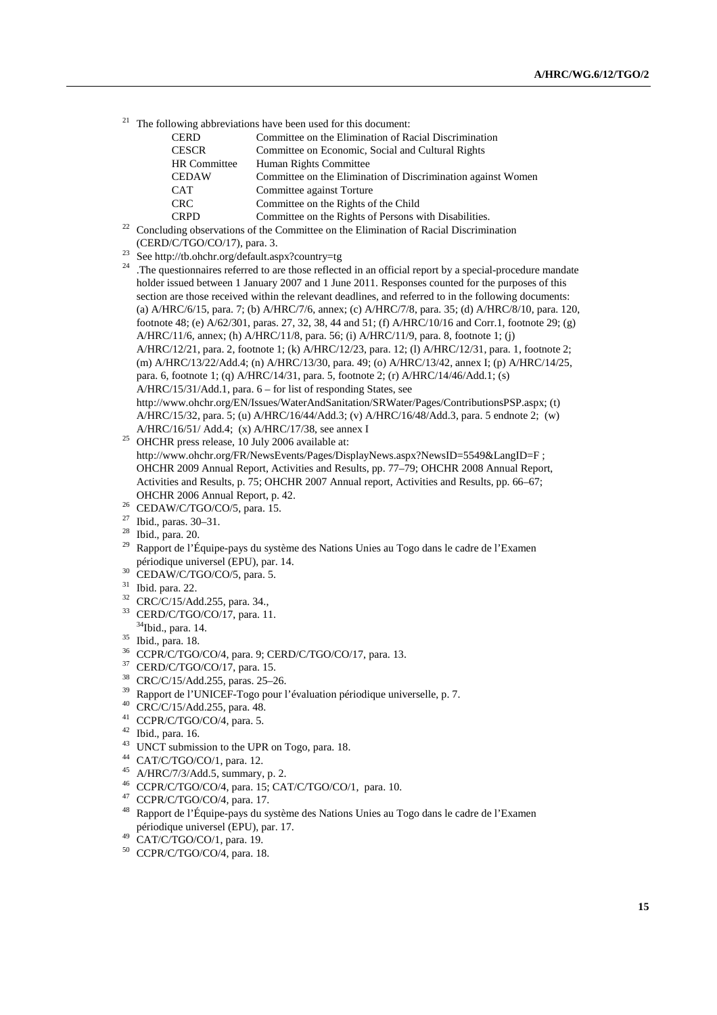$21$  The following abbreviations have been used for this document:

| <b>CERD</b>  | Committee on the Elimination of Racial Discrimination                          |
|--------------|--------------------------------------------------------------------------------|
| <b>CESCR</b> | Committee on Economic, Social and Cultural Rights                              |
| HR Committee | Human Rights Committee                                                         |
| <b>CEDAW</b> | Committee on the Elimination of Discrimination against Women                   |
| <b>CAT</b>   | Committee against Torture                                                      |
| <b>CRC</b>   | Committee on the Rights of the Child                                           |
| <b>CRPD</b>  | Committee on the Rights of Persons with Disabilities.                          |
|              | ding observations of the Committee on the Elimination of Pacial Discrimination |

- $22$  Concluding observations of the Committee on the Elimination of Racial Discrimination (CERD/C/TGO/CO/17), para. 3.
- $23$  See http://tb.ohchr.org/default.aspx?country=tg
- <sup>24</sup> .The questionnaires referred to are those reflected in an official report by a special-procedure mandate holder issued between 1 January 2007 and 1 June 2011. Responses counted for the purposes of this section are those received within the relevant deadlines, and referred to in the following documents: (a) A/HRC/6/15, para. 7; (b) A/HRC/7/6, annex; (c) A/HRC/7/8, para. 35; (d) A/HRC/8/10, para. 120, footnote 48; (e) A/62/301, paras. 27, 32, 38, 44 and 51; (f) A/HRC/10/16 and Corr.1, footnote 29; (g) A/HRC/11/6, annex; (h) A/HRC/11/8, para. 56; (i) A/HRC/11/9, para. 8, footnote 1; (j) A/HRC/12/21, para. 2, footnote 1; (k) A/HRC/12/23, para. 12; (l) A/HRC/12/31, para. 1, footnote 2; (m) A/HRC/13/22/Add.4; (n) A/HRC/13/30, para. 49; (o) A/HRC/13/42, annex I; (p) A/HRC/14/25, para. 6, footnote 1; (q) A/HRC/14/31, para. 5, footnote 2; (r) A/HRC/14/46/Add.1; (s) A/HRC/15/31/Add.1, para. 6 – for list of responding States, see http://www.ohchr.org/EN/Issues/WaterAndSanitation/SRWater/Pages/ContributionsPSP.aspx; (t) A/HRC/15/32, para. 5; (u) A/HRC/16/44/Add.3; (v) A/HRC/16/48/Add.3, para. 5 endnote 2; (w) A/HRC/16/51/ Add.4; (x) A/HRC/17/38, see annex I
- <sup>25</sup> OHCHR press release, 10 July 2006 available at: http://www.ohchr.org/FR/NewsEvents/Pages/DisplayNews.aspx?NewsID=5549&LangID=F ; OHCHR 2009 Annual Report, Activities and Results, pp. 77–79; OHCHR 2008 Annual Report, Activities and Results, p. 75; OHCHR 2007 Annual report, Activities and Results, pp. 66–67; OHCHR 2006 Annual Report, p. 42.
- <sup>26</sup> CEDAW/C/TGO/CO/5, para. 15.
- <sup>27</sup> Ibid., paras. 30–31.
- <sup>28</sup> Ibid., para. 20.
- <sup>29</sup> Rapport de l'Équipe-pays du système des Nations Unies au Togo dans le cadre de l'Examen périodique universel (EPU), par. 14.
- <sup>30</sup> CEDAW/C/TGO/CO/5, para. 5.
- <sup>31</sup> Ibid. para. 22.
- <sup>32</sup> CRC/C/15/Add.255, para. 34.,
- <sup>33</sup> CERD/C/TGO/CO/17, para. 11. <sup>34</sup>Ibid., para. 14.
- <sup>35</sup> Ibid., para. 18.
- <sup>36</sup> CCPR/C/TGO/CO/4, para. 9; CERD/C/TGO/CO/17, para. 13.
- <sup>37</sup> CERD/C/TGO/CO/17, para. 15.
- <sup>38</sup> CRC/C/15/Add.255, paras. 25–26.
- <sup>39</sup> Rapport de l'UNICEF-Togo pour l'évaluation périodique universelle, p. 7.
- <sup>40</sup> CRC/C/15/Add.255, para. 48.
- <sup>41</sup> CCPR/C/TGO/CO/4, para. 5.
- <sup>42</sup> Ibid., para. 16.
- <sup>43</sup> UNCT submission to the UPR on Togo, para. 18.
- <sup>44</sup> CAT/C/TGO/CO/1, para. 12.
- <sup>45</sup> A/HRC/7/3/Add.5, summary, p. 2.
- <sup>46</sup> CCPR/C/TGO/CO/4, para. 15; CAT/C/TGO/CO/1, para. 10.
- <sup>47</sup> CCPR/C/TGO/CO/4, para. 17. <sup>48</sup> Rapport de l'Équipe-pays du système des Nations Unies au Togo dans le cadre de l'Examen
- périodique universel (EPU), par. 17.  $CAT/C/TGO/CO/1$ , para. 19.
- <sup>50</sup> CCPR/C/TGO/CO/4, para. 18.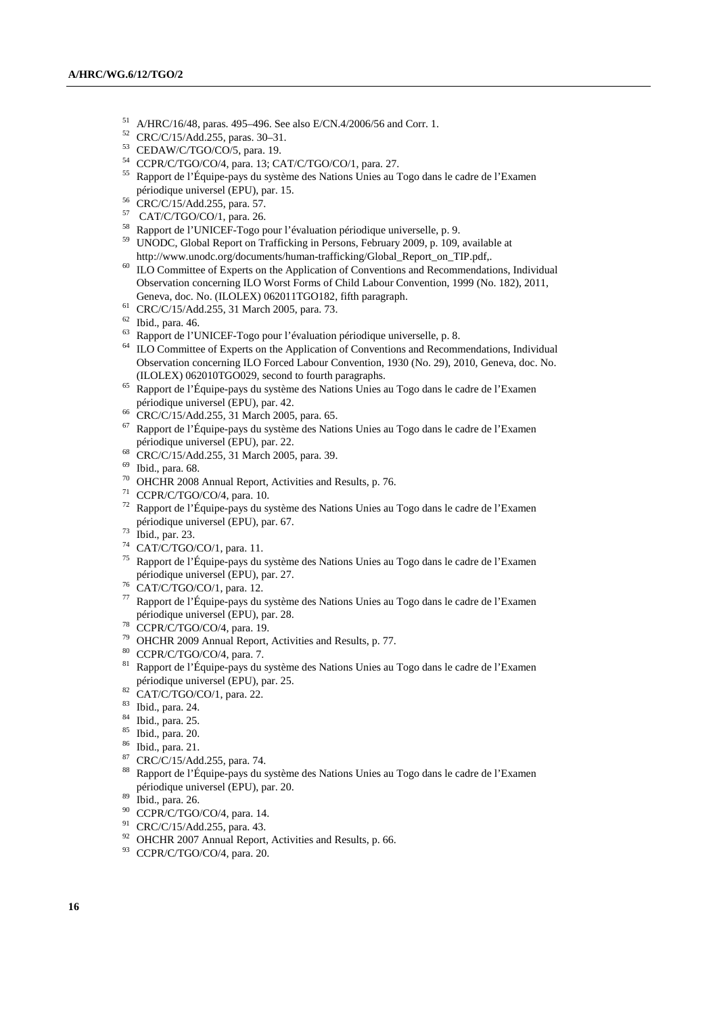- A/HRC/16/48, paras. 495–496. See also E/CN.4/2006/56 and Corr. 1.
- CRC/C/15/Add.255, paras. 30–31.
- CEDAW/C/TGO/CO/5, para. 19.
- CCPR/C/TGO/CO/4, para. 13; CAT/C/TGO/CO/1, para. 27.
- Rapport de l'Équipe-pays du système des Nations Unies au Togo dans le cadre de l'Examen périodique universel (EPU), par. 15.
- CRC/C/15/Add.255, para. 57.
- CAT/C/TGO/CO/1, para. 26.
- Rapport de l'UNICEF-Togo pour l'évaluation périodique universelle, p. 9.
- UNODC, Global Report on Trafficking in Persons, February 2009, p. 109, available at http://www.unodc.org/documents/human-trafficking/Global\_Report\_on\_TIP.pdf,.
- <sup>60</sup> ILO Committee of Experts on the Application of Conventions and Recommendations, Individual Observation concerning ILO Worst Forms of Child Labour Convention, 1999 (No. 182), 2011, Geneva, doc. No. (ILOLEX) 062011TGO182, fifth paragraph.
- CRC/C/15/Add.255, 31 March 2005, para. 73.
- Ibid., para. 46.
- Rapport de l'UNICEF-Togo pour l'évaluation périodique universelle, p. 8.
- <sup>64</sup> ILO Committee of Experts on the Application of Conventions and Recommendations, Individual Observation concerning ILO Forced Labour Convention, 1930 (No. 29), 2010, Geneva, doc. No. (ILOLEX) 062010TGO029, second to fourth paragraphs.
- Rapport de l'Équipe-pays du système des Nations Unies au Togo dans le cadre de l'Examen périodique universel (EPU), par. 42.
- CRC/C/15/Add.255, 31 March 2005, para. 65.
- Rapport de l'Équipe-pays du système des Nations Unies au Togo dans le cadre de l'Examen périodique universel (EPU), par. 22.
- CRC/C/15/Add.255, 31 March 2005, para. 39.
- Ibid., para. 68.
- OHCHR 2008 Annual Report, Activities and Results, p. 76.
- CCPR/C/TGO/CO/4, para. 10.
- Rapport de l'Équipe-pays du système des Nations Unies au Togo dans le cadre de l'Examen périodique universel (EPU), par. 67.
- Ibid., par. 23.
- CAT/C/TGO/CO/1, para. 11.
- Rapport de l'Équipe-pays du système des Nations Unies au Togo dans le cadre de l'Examen périodique universel (EPU), par. 27.
- Performance de CAT/C/TGO/CO/1, para. 12.
- Rapport de l'Équipe-pays du système des Nations Unies au Togo dans le cadre de l'Examen périodique universel (EPU), par. 28.
- CCPR/C/TGO/CO/4, para. 19.
- OHCHR 2009 Annual Report, Activities and Results, p. 77.
- CCPR/C/TGO/CO/4, para. 7.
- 81 Rapport de l'Équipe-pays du système des Nations Unies au Togo dans le cadre de l'Examen périodique universel (EPU), par. 25.
- 82 CAT/C/TGO/CO/1, para. 22.
- Ibid., para. 24.
- Ibid., para. 25.
- Ibid., para. 20.
- Ibid., para. 21.
- $R^87$  CRC/C/15/Add.255, para. 74.
- Rapport de l'Équipe-pays du système des Nations Unies au Togo dans le cadre de l'Examen périodique universel (EPU), par. 20.
- Ibid., para. 26.
- <sup>90</sup> CCPR/C/TGO/CO/4, para. 14.
- CRC/C/15/Add.255, para. 43.
- <sup>92</sup> OHCHR 2007 Annual Report, Activities and Results, p. 66.
- 93 CCPR/C/TGO/CO/4, para. 20.